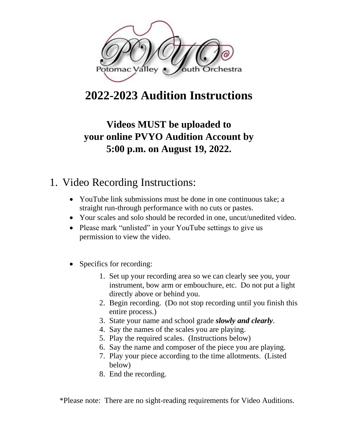

## **2022-2023 Audition Instructions**

## **Videos MUST be uploaded to your online PVYO Audition Account by 5:00 p.m. on August 19, 2022.**

### 1. Video Recording Instructions:

- YouTube link submissions must be done in one continuous take: a straight run-through performance with no cuts or pastes.
- Your scales and solo should be recorded in one, uncut/unedited video.
- Please mark "unlisted" in your YouTube settings to give us permission to view the video.
- Specifics for recording:
	- 1. Set up your recording area so we can clearly see you, your instrument, bow arm or embouchure, etc. Do not put a light directly above or behind you.
	- 2. Begin recording. (Do not stop recording until you finish this entire process.)
	- 3. State your name and school grade *slowly and clearly*.
	- 4. Say the names of the scales you are playing.
	- 5. Play the required scales. (Instructions below)
	- 6. Say the name and composer of the piece you are playing.
	- 7. Play your piece according to the time allotments. (Listed below)
	- 8. End the recording.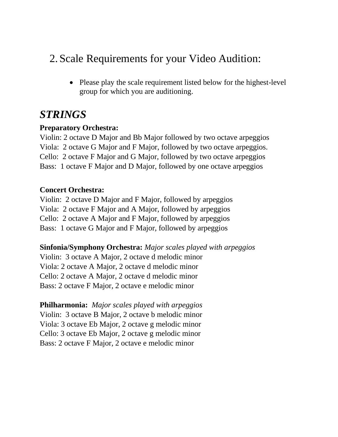### 2. Scale Requirements for your Video Audition:

• Please play the scale requirement listed below for the highest-level group for which you are auditioning.

## *STRINGS*

#### **Preparatory Orchestra:**

Violin: 2 octave D Major and Bb Major followed by two octave arpeggios Viola: 2 octave G Major and F Major, followed by two octave arpeggios. Cello: 2 octave F Major and G Major, followed by two octave arpeggios Bass: 1 octave F Major and D Major, followed by one octave arpeggios

#### **Concert Orchestra:**

Violin: 2 octave D Major and F Major, followed by arpeggios Viola: 2 octave F Major and A Major, followed by arpeggios Cello: 2 octave A Major and F Major, followed by arpeggios Bass: 1 octave G Major and F Major, followed by arpeggios

**Sinfonia/Symphony Orchestra:** *Major scales played with arpeggios* Violin: 3 octave A Major, 2 octave d melodic minor Viola: 2 octave A Major, 2 octave d melodic minor Cello: 2 octave A Major, 2 octave d melodic minor Bass: 2 octave F Major, 2 octave e melodic minor

**Philharmonia:** *Major scales played with arpeggios* Violin: 3 octave B Major, 2 octave b melodic minor Viola: 3 octave Eb Major, 2 octave g melodic minor Cello: 3 octave Eb Major, 2 octave g melodic minor Bass: 2 octave F Major, 2 octave e melodic minor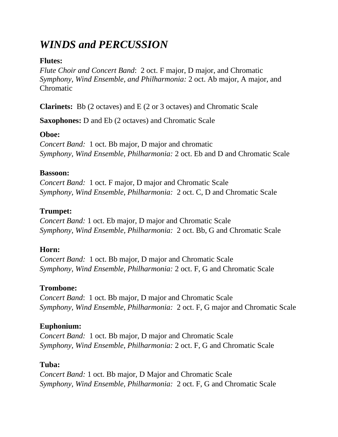## *WINDS and PERCUSSION*

#### **Flutes:**

*Flute Choir and Concert Band*: 2 oct. F major, D major, and Chromatic *Symphony, Wind Ensemble, and Philharmonia:* 2 oct. Ab major, A major, and Chromatic

**Clarinets:** Bb (2 octaves) and E (2 or 3 octaves) and Chromatic Scale

**Saxophones:** D and Eb (2 octaves) and Chromatic Scale

#### **Oboe:**

*Concert Band:* 1 oct. Bb major, D major and chromatic *Symphony, Wind Ensemble, Philharmonia:* 2 oct. Eb and D and Chromatic Scale

#### **Bassoon:**

*Concert Band:* 1 oct. F major, D major and Chromatic Scale *Symphony, Wind Ensemble, Philharmonia:* 2 oct. C, D and Chromatic Scale

#### **Trumpet:**

*Concert Band:* 1 oct. Eb major, D major and Chromatic Scale *Symphony, Wind Ensemble, Philharmonia:* 2 oct. Bb, G and Chromatic Scale

#### **Horn:**

*Concert Band:* 1 oct. Bb major, D major and Chromatic Scale *Symphony, Wind Ensemble, Philharmonia:* 2 oct. F, G and Chromatic Scale

#### **Trombone:**

*Concert Band*: 1 oct. Bb major, D major and Chromatic Scale *Symphony, Wind Ensemble, Philharmonia:* 2 oct. F, G major and Chromatic Scale

#### **Euphonium:**

*Concert Band:* 1 oct. Bb major, D major and Chromatic Scale *Symphony, Wind Ensemble, Philharmonia:* 2 oct. F, G and Chromatic Scale

#### **Tuba:**

*Concert Band:* 1 oct. Bb major, D Major and Chromatic Scale *Symphony, Wind Ensemble, Philharmonia:* 2 oct. F, G and Chromatic Scale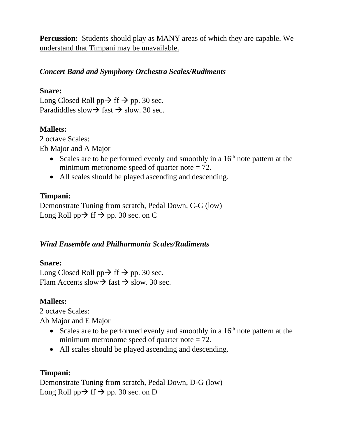**Percussion:** Students should play as MANY areas of which they are capable. We understand that Timpani may be unavailable.

#### *Concert Band and Symphony Orchestra Scales/Rudiments*

#### **Snare:**

Long Closed Roll pp $\rightarrow$  ff  $\rightarrow$  pp. 30 sec. Paradiddles slow $\rightarrow$  fast  $\rightarrow$  slow. 30 sec.

#### **Mallets:**

2 octave Scales: Eb Major and A Major

- Scales are to be performed evenly and smoothly in a  $16<sup>th</sup>$  note pattern at the minimum metronome speed of quarter note  $= 72$ .
- All scales should be played ascending and descending.

#### **Timpani:**

Demonstrate Tuning from scratch, Pedal Down, C-G (low) Long Roll pp $\rightarrow$  ff  $\rightarrow$  pp. 30 sec. on C

#### *Wind Ensemble and Philharmonia Scales/Rudiments*

#### **Snare:**

Long Closed Roll pp $\rightarrow$  ff  $\rightarrow$  pp. 30 sec. Flam Accents slow $\rightarrow$  fast  $\rightarrow$  slow. 30 sec.

#### **Mallets:**

2 octave Scales:

Ab Major and E Major

- Scales are to be performed evenly and smoothly in a  $16<sup>th</sup>$  note pattern at the minimum metronome speed of quarter note  $= 72$ .
- All scales should be played ascending and descending.

#### **Timpani:**

Demonstrate Tuning from scratch, Pedal Down, D-G (low) Long Roll  $pp \rightarrow ff \rightarrow pp$ . 30 sec. on D